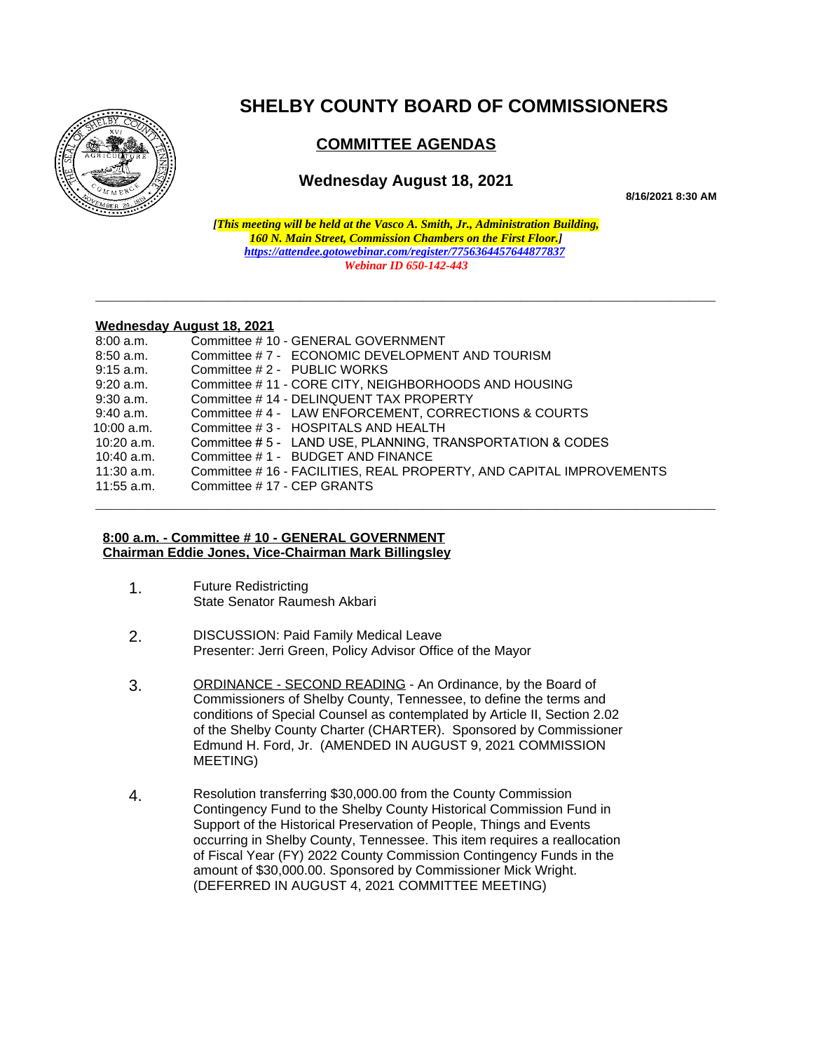

# **SHELBY COUNTY BOARD OF COMMISSIONERS**

## **COMMITTEE AGENDAS**

### **Wednesday August 18, 2021**

**8/16/2021 8:30 AM**

*[This meeting will be held at the Vasco A. Smith, Jr., Administration Building, 160 N. Main Street, Commission Chambers on the First Floor.] <https://attendee.gotowebinar.com/register/7756364457644877837> Webinar ID 650-142-443*

**\_\_\_\_\_\_\_\_\_\_\_\_\_\_\_\_\_\_\_\_\_\_\_\_\_\_\_\_\_\_\_\_\_\_\_\_\_\_\_\_\_\_\_\_\_\_\_\_\_\_\_\_\_\_\_\_\_\_\_\_\_\_\_\_\_\_\_\_\_\_**

**\_\_\_\_\_\_\_\_\_\_\_\_\_\_\_\_\_\_\_\_\_\_\_\_\_\_\_\_\_\_\_\_\_\_\_\_\_\_\_\_\_\_\_\_\_\_\_\_\_\_\_\_\_\_\_\_\_\_\_\_\_\_\_\_\_\_\_\_\_\_**

#### **Wednesday August 18, 2021**

| 8:00 a.m.    | Committee # 10 - GENERAL GOVERNMENT                                  |
|--------------|----------------------------------------------------------------------|
| $8:50$ a.m.  | Committee #7 - ECONOMIC DEVELOPMENT AND TOURISM                      |
| $9:15$ a.m.  | Committee #2 - PUBLIC WORKS                                          |
| $9:20$ a.m.  | Committee #11 - CORE CITY, NEIGHBORHOODS AND HOUSING                 |
| $9:30$ a.m.  | Committee #14 - DELINQUENT TAX PROPERTY                              |
| 9:40 a.m.    | Committee #4 - LAW ENFORCEMENT, CORRECTIONS & COURTS                 |
| $10:00$ a.m. | Committee #3 - HOSPITALS AND HEALTH                                  |
| $10:20$ a.m. | Committee #5 - LAND USE, PLANNING, TRANSPORTATION & CODES            |
| $10:40$ a.m. | Committee #1 - BUDGET AND FINANCE                                    |
| 11:30 a.m.   | Committee # 16 - FACILITIES, REAL PROPERTY, AND CAPITAL IMPROVEMENTS |
| $11:55$ a.m. | Committee #17 - CEP GRANTS                                           |
|              |                                                                      |

#### **8:00 a.m. - Committee # 10 - GENERAL GOVERNMENT Chairman Eddie Jones, Vice-Chairman Mark Billingsley**

- 1. Future Redistricting State Senator Raumesh Akbari
- 2. DISCUSSION: Paid Family Medical Leave Presenter: Jerri Green, Policy Advisor Office of the Mayor
- 3. ORDINANCE SECOND READING An Ordinance, by the Board of Commissioners of Shelby County, Tennessee, to define the terms and conditions of Special Counsel as contemplated by Article II, Section 2.02 of the Shelby County Charter (CHARTER). Sponsored by Commissioner Edmund H. Ford, Jr. (AMENDED IN AUGUST 9, 2021 COMMISSION MEETING)
- 4. Resolution transferring \$30,000.00 from the County Commission Contingency Fund to the Shelby County Historical Commission Fund in Support of the Historical Preservation of People, Things and Events occurring in Shelby County, Tennessee. This item requires a reallocation of Fiscal Year (FY) 2022 County Commission Contingency Funds in the amount of \$30,000.00. Sponsored by Commissioner Mick Wright. (DEFERRED IN AUGUST 4, 2021 COMMITTEE MEETING)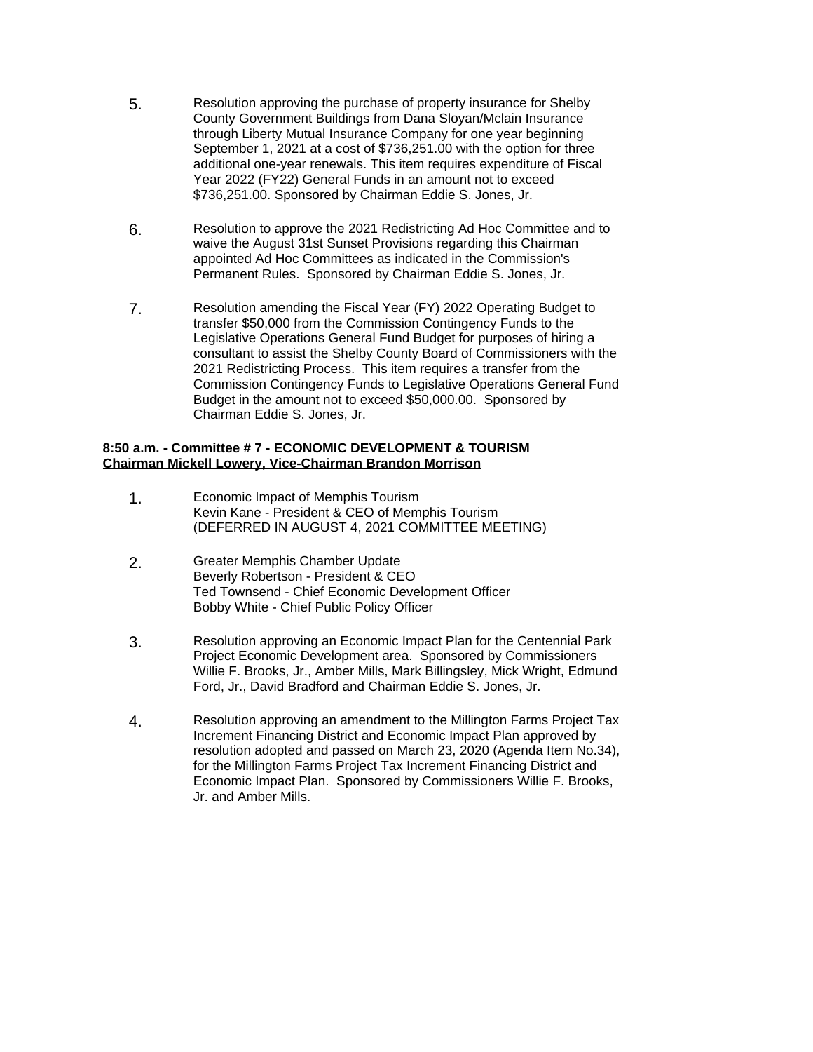- 5. Resolution approving the purchase of property insurance for Shelby County Government Buildings from Dana Sloyan/Mclain Insurance through Liberty Mutual Insurance Company for one year beginning September 1, 2021 at a cost of \$736,251.00 with the option for three additional one-year renewals. This item requires expenditure of Fiscal Year 2022 (FY22) General Funds in an amount not to exceed \$736,251.00. Sponsored by Chairman Eddie S. Jones, Jr.
- 6. Resolution to approve the 2021 Redistricting Ad Hoc Committee and to waive the August 31st Sunset Provisions regarding this Chairman appointed Ad Hoc Committees as indicated in the Commission's Permanent Rules. Sponsored by Chairman Eddie S. Jones, Jr.
- 7. Resolution amending the Fiscal Year (FY) 2022 Operating Budget to transfer \$50,000 from the Commission Contingency Funds to the Legislative Operations General Fund Budget for purposes of hiring a consultant to assist the Shelby County Board of Commissioners with the 2021 Redistricting Process. This item requires a transfer from the Commission Contingency Funds to Legislative Operations General Fund Budget in the amount not to exceed \$50,000.00. Sponsored by Chairman Eddie S. Jones, Jr.

#### **8:50 a.m. - Committee # 7 - ECONOMIC DEVELOPMENT & TOURISM Chairman Mickell Lowery, Vice-Chairman Brandon Morrison**

- 1. Economic Impact of Memphis Tourism Kevin Kane - President & CEO of Memphis Tourism (DEFERRED IN AUGUST 4, 2021 COMMITTEE MEETING)
- 2. Greater Memphis Chamber Update Beverly Robertson - President & CEO Ted Townsend - Chief Economic Development Officer Bobby White - Chief Public Policy Officer
- 3. Resolution approving an Economic Impact Plan for the Centennial Park Project Economic Development area. Sponsored by Commissioners Willie F. Brooks, Jr., Amber Mills, Mark Billingsley, Mick Wright, Edmund Ford, Jr., David Bradford and Chairman Eddie S. Jones, Jr.
- 4. Resolution approving an amendment to the Millington Farms Project Tax Increment Financing District and Economic Impact Plan approved by resolution adopted and passed on March 23, 2020 (Agenda Item No.34), for the Millington Farms Project Tax Increment Financing District and Economic Impact Plan. Sponsored by Commissioners Willie F. Brooks, Jr. and Amber Mills.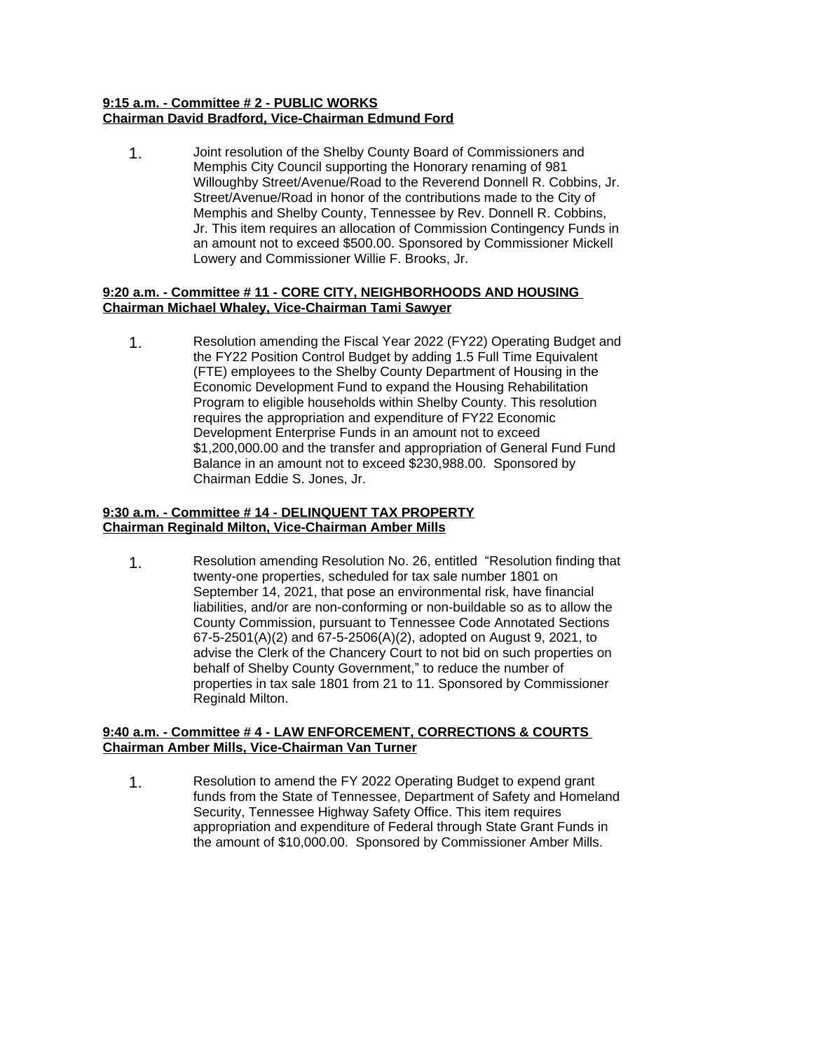#### **9:15 a.m. - Committee # 2 - PUBLIC WORKS Chairman David Bradford, Vice-Chairman Edmund Ford**

1. Joint resolution of the Shelby County Board of Commissioners and Memphis City Council supporting the Honorary renaming of 981 Willoughby Street/Avenue/Road to the Reverend Donnell R. Cobbins, Jr. Street/Avenue/Road in honor of the contributions made to the City of Memphis and Shelby County, Tennessee by Rev. Donnell R. Cobbins, Jr. This item requires an allocation of Commission Contingency Funds in an amount not to exceed \$500.00. Sponsored by Commissioner Mickell Lowery and Commissioner Willie F. Brooks, Jr.

#### **9:20 a.m. - Committee # 11 - CORE CITY, NEIGHBORHOODS AND HOUSING Chairman Michael Whaley, Vice-Chairman Tami Sawyer**

1. Resolution amending the Fiscal Year 2022 (FY22) Operating Budget and the FY22 Position Control Budget by adding 1.5 Full Time Equivalent (FTE) employees to the Shelby County Department of Housing in the Economic Development Fund to expand the Housing Rehabilitation Program to eligible households within Shelby County. This resolution requires the appropriation and expenditure of FY22 Economic Development Enterprise Funds in an amount not to exceed \$1,200,000.00 and the transfer and appropriation of General Fund Fund Balance in an amount not to exceed \$230,988.00. Sponsored by Chairman Eddie S. Jones, Jr.

#### **9:30 a.m. - Committee # 14 - DELINQUENT TAX PROPERTY Chairman Reginald Milton, Vice-Chairman Amber Mills**

1. Resolution amending Resolution No. 26, entitled "Resolution finding that twenty-one properties, scheduled for tax sale number 1801 on September 14, 2021, that pose an environmental risk, have financial liabilities, and/or are non-conforming or non-buildable so as to allow the County Commission, pursuant to Tennessee Code Annotated Sections 67-5-2501(A)(2) and 67-5-2506(A)(2), adopted on August 9, 2021, to advise the Clerk of the Chancery Court to not bid on such properties on behalf of Shelby County Government," to reduce the number of properties in tax sale 1801 from 21 to 11. Sponsored by Commissioner Reginald Milton.

#### **9:40 a.m. - Committee # 4 - LAW ENFORCEMENT, CORRECTIONS & COURTS Chairman Amber Mills, Vice-Chairman Van Turner**

1. Resolution to amend the FY 2022 Operating Budget to expend grant funds from the State of Tennessee, Department of Safety and Homeland Security, Tennessee Highway Safety Office. This item requires appropriation and expenditure of Federal through State Grant Funds in the amount of \$10,000.00. Sponsored by Commissioner Amber Mills.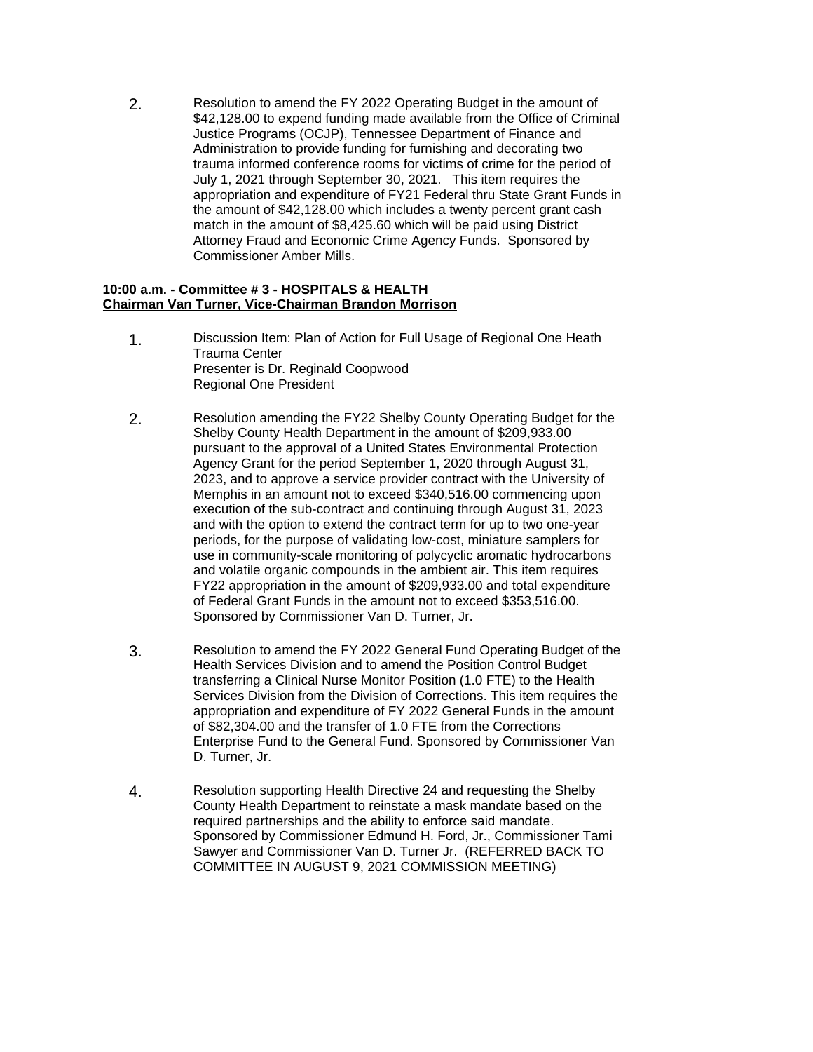2. Resolution to amend the FY 2022 Operating Budget in the amount of \$42,128.00 to expend funding made available from the Office of Criminal Justice Programs (OCJP), Tennessee Department of Finance and Administration to provide funding for furnishing and decorating two trauma informed conference rooms for victims of crime for the period of July 1, 2021 through September 30, 2021. This item requires the appropriation and expenditure of FY21 Federal thru State Grant Funds in the amount of \$42,128.00 which includes a twenty percent grant cash match in the amount of \$8,425.60 which will be paid using District Attorney Fraud and Economic Crime Agency Funds. Sponsored by Commissioner Amber Mills.

#### **10:00 a.m. - Committee # 3 - HOSPITALS & HEALTH Chairman Van Turner, Vice-Chairman Brandon Morrison**

- 1. Discussion Item: Plan of Action for Full Usage of Regional One Heath Trauma Center Presenter is Dr. Reginald Coopwood Regional One President
- 2. Resolution amending the FY22 Shelby County Operating Budget for the Shelby County Health Department in the amount of \$209,933.00 pursuant to the approval of a United States Environmental Protection Agency Grant for the period September 1, 2020 through August 31, 2023, and to approve a service provider contract with the University of Memphis in an amount not to exceed \$340,516.00 commencing upon execution of the sub-contract and continuing through August 31, 2023 and with the option to extend the contract term for up to two one-year periods, for the purpose of validating low-cost, miniature samplers for use in community-scale monitoring of polycyclic aromatic hydrocarbons and volatile organic compounds in the ambient air. This item requires FY22 appropriation in the amount of \$209,933.00 and total expenditure of Federal Grant Funds in the amount not to exceed \$353,516.00. Sponsored by Commissioner Van D. Turner, Jr.
- 3. Resolution to amend the FY 2022 General Fund Operating Budget of the Health Services Division and to amend the Position Control Budget transferring a Clinical Nurse Monitor Position (1.0 FTE) to the Health Services Division from the Division of Corrections. This item requires the appropriation and expenditure of FY 2022 General Funds in the amount of \$82,304.00 and the transfer of 1.0 FTE from the Corrections Enterprise Fund to the General Fund. Sponsored by Commissioner Van D. Turner, Jr.
- 4. Resolution supporting Health Directive 24 and requesting the Shelby County Health Department to reinstate a mask mandate based on the required partnerships and the ability to enforce said mandate. Sponsored by Commissioner Edmund H. Ford, Jr., Commissioner Tami Sawyer and Commissioner Van D. Turner Jr. (REFERRED BACK TO COMMITTEE IN AUGUST 9, 2021 COMMISSION MEETING)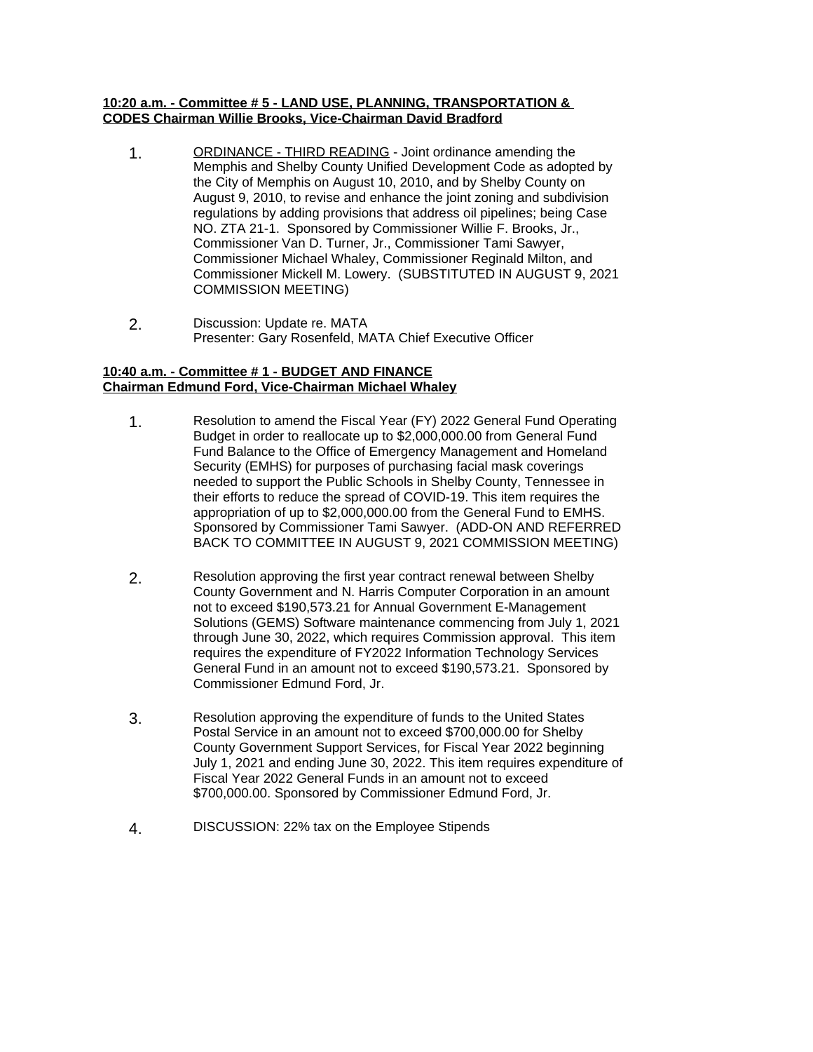#### **10:20 a.m. - Committee # 5 - LAND USE, PLANNING, TRANSPORTATION & CODES Chairman Willie Brooks, Vice-Chairman David Bradford**

- 1. ORDINANCE THIRD READING Joint ordinance amending the Memphis and Shelby County Unified Development Code as adopted by the City of Memphis on August 10, 2010, and by Shelby County on August 9, 2010, to revise and enhance the joint zoning and subdivision regulations by adding provisions that address oil pipelines; being Case NO. ZTA 21-1. Sponsored by Commissioner Willie F. Brooks, Jr., Commissioner Van D. Turner, Jr., Commissioner Tami Sawyer, Commissioner Michael Whaley, Commissioner Reginald Milton, and Commissioner Mickell M. Lowery. (SUBSTITUTED IN AUGUST 9, 2021 COMMISSION MEETING)
- 2. Discussion: Update re. MATA Presenter: Gary Rosenfeld, MATA Chief Executive Officer

#### **10:40 a.m. - Committee # 1 - BUDGET AND FINANCE Chairman Edmund Ford, Vice-Chairman Michael Whaley**

- 1. Resolution to amend the Fiscal Year (FY) 2022 General Fund Operating Budget in order to reallocate up to \$2,000,000.00 from General Fund Fund Balance to the Office of Emergency Management and Homeland Security (EMHS) for purposes of purchasing facial mask coverings needed to support the Public Schools in Shelby County, Tennessee in their efforts to reduce the spread of COVID-19. This item requires the appropriation of up to \$2,000,000.00 from the General Fund to EMHS. Sponsored by Commissioner Tami Sawyer. (ADD-ON AND REFERRED BACK TO COMMITTEE IN AUGUST 9, 2021 COMMISSION MEETING)
- 2. Resolution approving the first year contract renewal between Shelby County Government and N. Harris Computer Corporation in an amount not to exceed \$190,573.21 for Annual Government E-Management Solutions (GEMS) Software maintenance commencing from July 1, 2021 through June 30, 2022, which requires Commission approval. This item requires the expenditure of FY2022 Information Technology Services General Fund in an amount not to exceed \$190,573.21. Sponsored by Commissioner Edmund Ford, Jr.
- 3. Resolution approving the expenditure of funds to the United States Postal Service in an amount not to exceed \$700,000.00 for Shelby County Government Support Services, for Fiscal Year 2022 beginning July 1, 2021 and ending June 30, 2022. This item requires expenditure of Fiscal Year 2022 General Funds in an amount not to exceed \$700,000.00. Sponsored by Commissioner Edmund Ford, Jr.
- 4. DISCUSSION: 22% tax on the Employee Stipends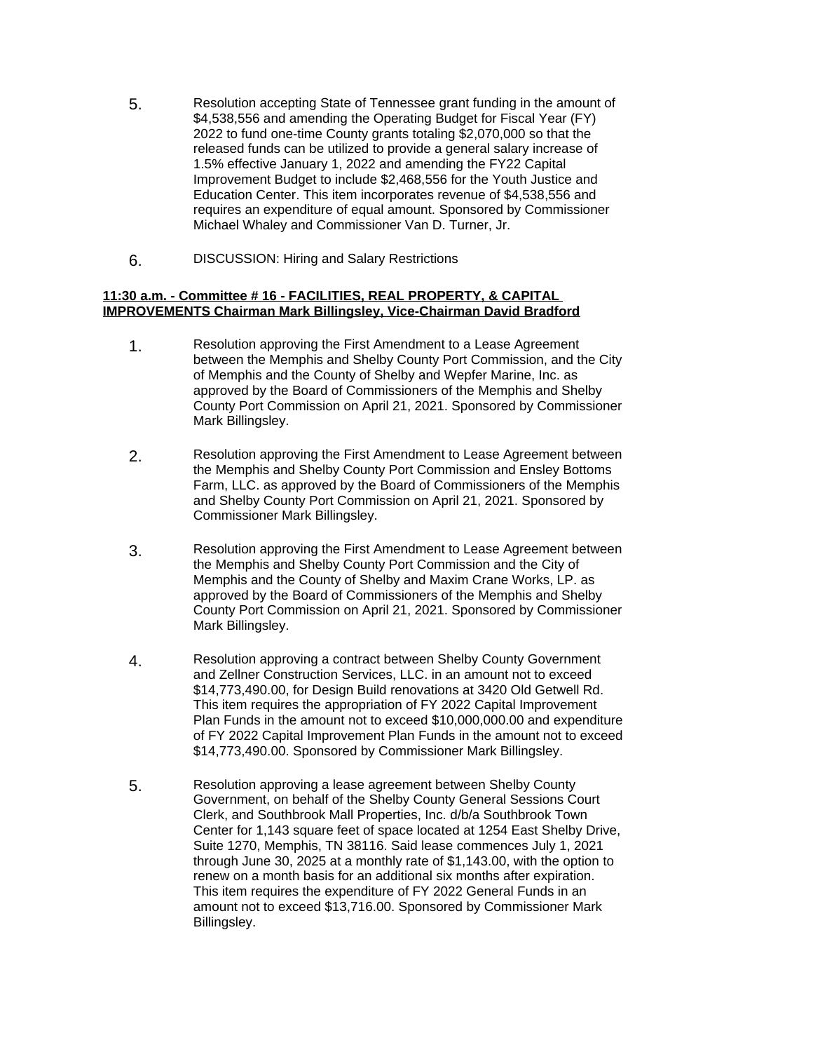- 5. Resolution accepting State of Tennessee grant funding in the amount of \$4,538,556 and amending the Operating Budget for Fiscal Year (FY) 2022 to fund one-time County grants totaling \$2,070,000 so that the released funds can be utilized to provide a general salary increase of 1.5% effective January 1, 2022 and amending the FY22 Capital Improvement Budget to include \$2,468,556 for the Youth Justice and Education Center. This item incorporates revenue of \$4,538,556 and requires an expenditure of equal amount. Sponsored by Commissioner Michael Whaley and Commissioner Van D. Turner, Jr.
- 6. DISCUSSION: Hiring and Salary Restrictions

#### **11:30 a.m. - Committee # 16 - FACILITIES, REAL PROPERTY, & CAPITAL IMPROVEMENTS Chairman Mark Billingsley, Vice-Chairman David Bradford**

- 1. Resolution approving the First Amendment to a Lease Agreement between the Memphis and Shelby County Port Commission, and the City of Memphis and the County of Shelby and Wepfer Marine, Inc. as approved by the Board of Commissioners of the Memphis and Shelby County Port Commission on April 21, 2021. Sponsored by Commissioner Mark Billingsley.
- 2. Resolution approving the First Amendment to Lease Agreement between the Memphis and Shelby County Port Commission and Ensley Bottoms Farm, LLC. as approved by the Board of Commissioners of the Memphis and Shelby County Port Commission on April 21, 2021. Sponsored by Commissioner Mark Billingsley.
- 3. Resolution approving the First Amendment to Lease Agreement between the Memphis and Shelby County Port Commission and the City of Memphis and the County of Shelby and Maxim Crane Works, LP. as approved by the Board of Commissioners of the Memphis and Shelby County Port Commission on April 21, 2021. Sponsored by Commissioner Mark Billingsley.
- 4. Resolution approving a contract between Shelby County Government and Zellner Construction Services, LLC. in an amount not to exceed \$14,773,490.00, for Design Build renovations at 3420 Old Getwell Rd. This item requires the appropriation of FY 2022 Capital Improvement Plan Funds in the amount not to exceed \$10,000,000.00 and expenditure of FY 2022 Capital Improvement Plan Funds in the amount not to exceed \$14,773,490.00. Sponsored by Commissioner Mark Billingsley.
- 5. Resolution approving a lease agreement between Shelby County Government, on behalf of the Shelby County General Sessions Court Clerk, and Southbrook Mall Properties, Inc. d/b/a Southbrook Town Center for 1,143 square feet of space located at 1254 East Shelby Drive, Suite 1270, Memphis, TN 38116. Said lease commences July 1, 2021 through June 30, 2025 at a monthly rate of \$1,143.00, with the option to renew on a month basis for an additional six months after expiration. This item requires the expenditure of FY 2022 General Funds in an amount not to exceed \$13,716.00. Sponsored by Commissioner Mark Billingsley.